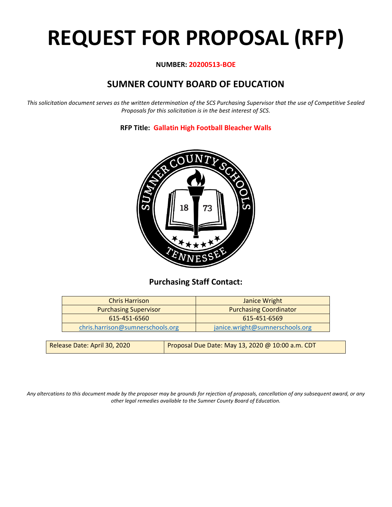# **REQUEST FOR PROPOSAL (RFP)**

#### **NUMBER: 20200513-BOE**

# **SUMNER COUNTY BOARD OF EDUCATION**

*This solicitation document serves as the written determination of the SCS Purchasing Supervisor that the use of Competitive Sealed Proposals for this solicitation is in the best interest of SCS.*

**RFP Title: Gallatin High Football Bleacher Walls**



## **Purchasing Staff Contact:**

| <b>Chris Harrison</b>            | <b>Janice Wright</b>            |
|----------------------------------|---------------------------------|
| <b>Purchasing Supervisor</b>     | <b>Purchasing Coordinator</b>   |
| 615-451-6560                     | 615-451-6569                    |
| chris.harrison@sumnerschools.org | janice.wright@sumnerschools.org |
|                                  |                                 |

| Release Date: April 30, 2020 | Proposal Due Date: May 13, 2020 @ 10:00 a.m. CDT |
|------------------------------|--------------------------------------------------|
|                              |                                                  |

*Any altercations to this document made by the proposer may be grounds for rejection of proposals, cancellation of any subsequent award, or any other legal remedies available to the Sumner County Board of Education.*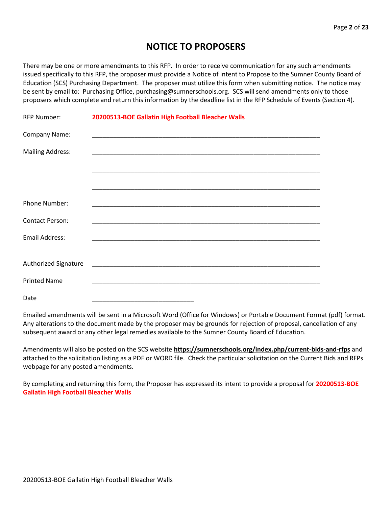# **NOTICE TO PROPOSERS**

There may be one or more amendments to this RFP. In order to receive communication for any such amendments issued specifically to this RFP, the proposer must provide a Notice of Intent to Propose to the Sumner County Board of Education (SCS) Purchasing Department. The proposer must utilize this form when submitting notice. The notice may be sent by email to: Purchasing Office, purchasing@sumnerschools.org. SCS will send amendments only to those proposers which complete and return this information by the deadline list in the RFP Schedule of Events (Section 4).

| <b>RFP Number:</b>      | 20200513-BOE Gallatin High Football Bleacher Walls |
|-------------------------|----------------------------------------------------|
| Company Name:           |                                                    |
| <b>Mailing Address:</b> |                                                    |
|                         |                                                    |
|                         |                                                    |
| Phone Number:           |                                                    |
| <b>Contact Person:</b>  |                                                    |
| Email Address:          |                                                    |
|                         |                                                    |
| Authorized Signature    |                                                    |
| <b>Printed Name</b>     |                                                    |
| Date                    |                                                    |

Emailed amendments will be sent in a Microsoft Word (Office for Windows) or Portable Document Format (pdf) format. Any alterations to the document made by the proposer may be grounds for rejection of proposal, cancellation of any subsequent award or any other legal remedies available to the Sumner County Board of Education.

Amendments will also be posted on the SCS website **https://sumnerschools.org/index.php/current-bids-and-rfps** and attached to the solicitation listing as a PDF or WORD file. Check the particular solicitation on the Current Bids and RFPs webpage for any posted amendments.

By completing and returning this form, the Proposer has expressed its intent to provide a proposal for **20200513-BOE Gallatin High Football Bleacher Walls**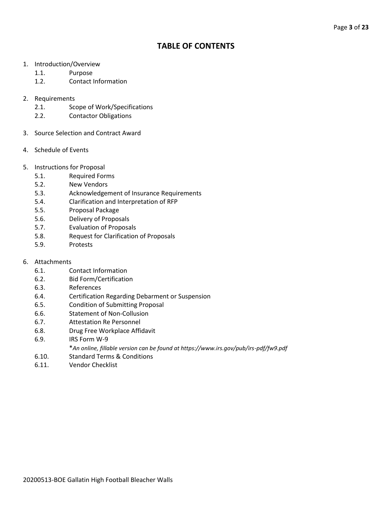## **TABLE OF CONTENTS**

- 1. Introduction/Overview
	- 1.1. Purpose
	- 1.2. Contact Information
- 2. Requirements
	- 2.1. Scope of Work/Specifications
	- 2.2. Contactor Obligations
- 3. Source Selection and Contract Award
- 4. Schedule of Events
- 5. Instructions for Proposal
	- 5.1. Required Forms
	- 5.2. New Vendors
	- 5.3. Acknowledgement of Insurance Requirements
	- 5.4. Clarification and Interpretation of RFP
	- 5.5. Proposal Package
	- 5.6. Delivery of Proposals
	- 5.7. Evaluation of Proposals
	- 5.8. Request for Clarification of Proposals
	- 5.9. Protests
- 6. Attachments
	- 6.1. Contact Information
	- 6.2. Bid Form/Certification
	- 6.3. References
	- 6.4. Certification Regarding Debarment or Suspension
	- 6.5. Condition of Submitting Proposal
	- 6.6. Statement of Non-Collusion
	- 6.7. Attestation Re Personnel
	- 6.8. Drug Free Workplace Affidavit
	- 6.9. IRS Form W-9
		- \**An online, fillable version can be found at https://www.irs.gov/pub/irs-pdf/fw9.pdf*
	- 6.10. Standard Terms & Conditions
	- 6.11. Vendor Checklist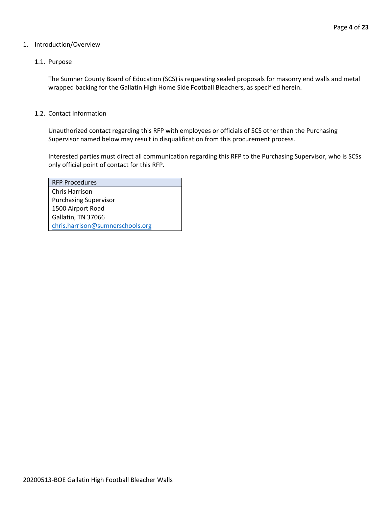#### 1. Introduction/Overview

#### 1.1. Purpose

The Sumner County Board of Education (SCS) is requesting sealed proposals for masonry end walls and metal wrapped backing for the Gallatin High Home Side Football Bleachers, as specified herein.

#### 1.2. Contact Information

Unauthorized contact regarding this RFP with employees or officials of SCS other than the Purchasing Supervisor named below may result in disqualification from this procurement process.

Interested parties must direct all communication regarding this RFP to the Purchasing Supervisor, who is SCSs only official point of contact for this RFP.

| <b>RFP Procedures</b>            |
|----------------------------------|
| Chris Harrison                   |
| <b>Purchasing Supervisor</b>     |
| 1500 Airport Road                |
| Gallatin, TN 37066               |
| chris.harrison@sumnerschools.org |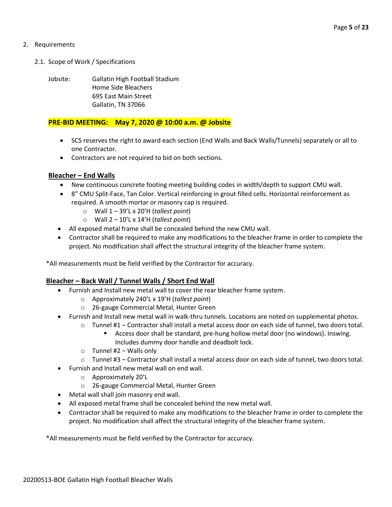#### 2. Requirements

- 2.1. Scope of Work / Specifications
	- Jobsite: Gallatin High Football Stadium Home Side Bleachers 695 East Main Street Gallatin, TN 37066

#### **PRE-BID MEETING: May 7, 2020 @ 10:00 a.m. @ Jobsite**

- SCS reserves the right to award each section (End Walls and Back Walls/Tunnels) separately or all to one Contractor.
- Contractors are not required to bid on both sections.

#### **Bleacher – End Walls**

- New continuous concrete footing meeting building codes in width/depth to support CMU wall.
- 8" CMU Split-Face, Tan Color. Vertical reinforcing in grout filled cells. Horizontal reinforcement as required. A smooth mortar or masonry cap is required.
	- o Wall 1 39'L x 20'H (*tallest point*)
	- o Wall 2 10'L x 14'H (*tallest point*)
- All exposed metal frame shall be concealed behind the new CMU wall.
- Contractor shall be required to make any modifications to the bleacher frame in order to complete the project. No modification shall affect the structural integrity of the bleacher frame system.

\*All measurements must be field verified by the Contractor for accuracy.

#### **Bleacher – Back Wall / Tunnel Walls / Short End Wall**

- Furnish and Install new metal wall to cover the rear bleacher frame system.
	- o Approximately 240'L x 19'H (*tallest point*)
	- o 26-gauge Commercial Metal, Hunter Green
- Furnish and Install new metal wall in walk-thru tunnels. Locations are noted on supplemental photos.
	- o Tunnel #1 Contractor shall install a metal access door on each side of tunnel, two doors total.
		- Access door shall be standard, pre-hung hollow metal door (no windows). Inswing. Includes dummy door handle and deadbolt lock.
	- $\circ$  Tunnel #2 Walls only
	- o Tunnel #3 Contractor shall install a metal access door on each side of tunnel, two doors total.
- Furnish and Install new metal wall on end wall.
	- o Approximately 20'L
	- o 26-gauge Commercial Metal, Hunter Green
- Metal wall shall join masonry end wall.
- All exposed metal frame shall be concealed behind the new metal wall.
- Contractor shall be required to make any modifications to the bleacher frame in order to complete the project. No modification shall affect the structural integrity of the bleacher frame system.

\*All measurements must be field verified by the Contractor for accuracy.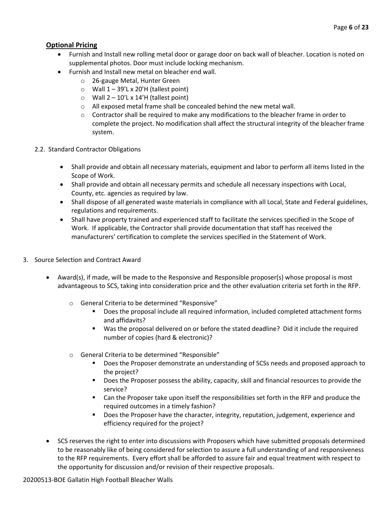### **Optional Pricing**

- Furnish and Install new rolling metal door or garage door on back wall of bleacher. Location is noted on supplemental photos. Door must include locking mechanism.
- Furnish and Install new metal on bleacher end wall.
	- o 26-gauge Metal, Hunter Green
	- $\circ$  Wall 1 39'L x 20'H (tallest point)
	- $\circ$  Wall 2 10'L x 14'H (tallest point)
	- o All exposed metal frame shall be concealed behind the new metal wall.
	- $\circ$  Contractor shall be required to make any modifications to the bleacher frame in order to complete the project. No modification shall affect the structural integrity of the bleacher frame system.
- 2.2. Standard Contractor Obligations
	- Shall provide and obtain all necessary materials, equipment and labor to perform all items listed in the Scope of Work.
	- Shall provide and obtain all necessary permits and schedule all necessary inspections with Local, County, etc. agencies as required by law.
	- Shall dispose of all generated waste materials in compliance with all Local, State and Federal guidelines, regulations and requirements.
	- Shall have property trained and experienced staff to facilitate the services specified in the Scope of Work. If applicable, the Contractor shall provide documentation that staff has received the manufacturers' certification to complete the services specified in the Statement of Work.
- 3. Source Selection and Contract Award
	- Award(s), if made, will be made to the Responsive and Responsible proposer(s) whose proposal is most advantageous to SCS, taking into consideration price and the other evaluation criteria set forth in the RFP.
		- o General Criteria to be determined "Responsive"
			- Does the proposal include all required information, included completed attachment forms and affidavits?
			- Was the proposal delivered on or before the stated deadline? Did it include the required number of copies (hard & electronic)?
		- o General Criteria to be determined "Responsible"
			- Does the Proposer demonstrate an understanding of SCSs needs and proposed approach to the project?
			- Does the Proposer possess the ability, capacity, skill and financial resources to provide the service?
			- Can the Proposer take upon itself the responsibilities set forth in the RFP and produce the required outcomes in a timely fashion?
			- **■** Does the Proposer have the character, integrity, reputation, judgement, experience and efficiency required for the project?
	- SCS reserves the right to enter into discussions with Proposers which have submitted proposals determined to be reasonably like of being considered for selection to assure a full understanding of and responsiveness to the RFP requirements. Every effort shall be afforded to assure fair and equal treatment with respect to the opportunity for discussion and/or revision of their respective proposals.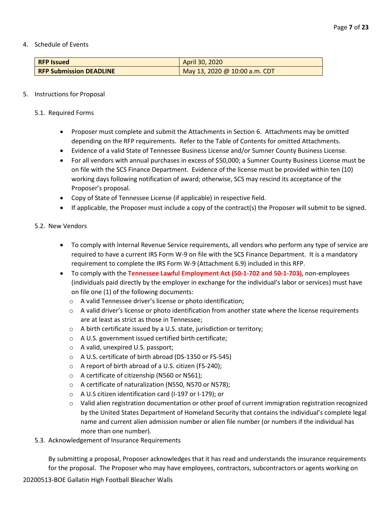4. Schedule of Events

| <b>RFP Issued</b>              | April 30, 2020                |
|--------------------------------|-------------------------------|
| <b>RFP Submission DEADLINE</b> | May 13, 2020 @ 10:00 a.m. CDT |

#### 5. Instructions for Proposal

- 5.1. Required Forms
	- Proposer must complete and submit the Attachments in Section 6. Attachments may be omitted depending on the RFP requirements. Refer to the Table of Contents for omitted Attachments.
	- Evidence of a valid State of Tennessee Business License and/or Sumner County Business License.
	- For all vendors with annual purchases in excess of \$50,000; a Sumner County Business License must be on file with the SCS Finance Department. Evidence of the license must be provided within ten (10) working days following notification of award; otherwise, SCS may rescind its acceptance of the Proposer's proposal.
	- Copy of State of Tennessee License (if applicable) in respective field.
	- If applicable, the Proposer must include a copy of the contract(s) the Proposer will submit to be signed.

#### 5.2. New Vendors

- To comply with Internal Revenue Service requirements, all vendors who perform any type of service are required to have a current IRS Form W-9 on file with the SCS Finance Department. It is a mandatory requirement to complete the IRS Form W-9 (Attachment 6.9) included in this RFP.
- To comply with the **Tennessee Lawful Employment Act (50-1-702 and 50-1-703)**, non-employees (individuals paid directly by the employer in exchange for the individual's labor or services) must have on file one (1) of the following documents:
	- o A valid Tennessee driver's license or photo identification;
	- $\circ$  A valid driver's license or photo identification from another state where the license requirements are at least as strict as those in Tennessee;
	- o A birth certificate issued by a U.S. state, jurisdiction or territory;
	- o A U.S. government issued certified birth certificate;
	- o A valid, unexpired U.S. passport;
	- o A U.S. certificate of birth abroad (DS-1350 or FS-545)
	- o A report of birth abroad of a U.S. citizen (FS-240);
	- o A certificate of citizenship (N560 or N561);
	- o A certificate of naturalization (N550, N570 or N578);
	- o A U.S citizen identification card (I-197 or I-179); or
	- o Valid alien registration documentation or other proof of current immigration registration recognized by the United States Department of Homeland Security that contains the individual's complete legal name and current alien admission number or alien file number (or numbers if the individual has more than one number).
- 5.3. Acknowledgement of Insurance Requirements

By submitting a proposal, Proposer acknowledges that it has read and understands the insurance requirements for the proposal. The Proposer who may have employees, contractors, subcontractors or agents working on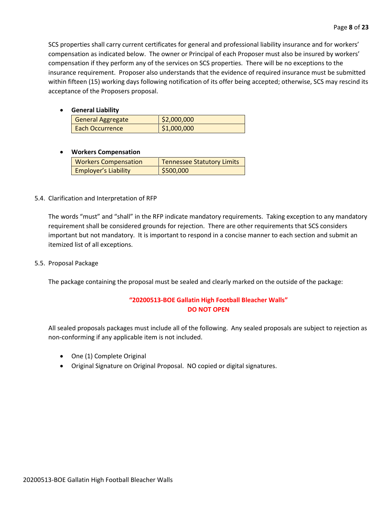SCS properties shall carry current certificates for general and professional liability insurance and for workers' compensation as indicated below. The owner or Principal of each Proposer must also be insured by workers' compensation if they perform any of the services on SCS properties. There will be no exceptions to the insurance requirement. Proposer also understands that the evidence of required insurance must be submitted within fifteen (15) working days following notification of its offer being accepted; otherwise, SCS may rescind its acceptance of the Proposers proposal.

• **General Liability**

| <b>General Aggregate</b> | \$2,000,000 |  |
|--------------------------|-------------|--|
| Each Occurrence          | \$1,000,000 |  |

#### • **Workers Compensation**

| <b>Workers Compensation</b> | <b>Tennessee Statutory Limits</b> |
|-----------------------------|-----------------------------------|
| <b>Employer's Liability</b> | \$500,000                         |

#### 5.4. Clarification and Interpretation of RFP

The words "must" and "shall" in the RFP indicate mandatory requirements. Taking exception to any mandatory requirement shall be considered grounds for rejection. There are other requirements that SCS considers important but not mandatory. It is important to respond in a concise manner to each section and submit an itemized list of all exceptions.

#### 5.5. Proposal Package

The package containing the proposal must be sealed and clearly marked on the outside of the package:

#### **"20200513-BOE Gallatin High Football Bleacher Walls" DO NOT OPEN**

All sealed proposals packages must include all of the following. Any sealed proposals are subject to rejection as non-conforming if any applicable item is not included.

- One (1) Complete Original
- Original Signature on Original Proposal. NO copied or digital signatures.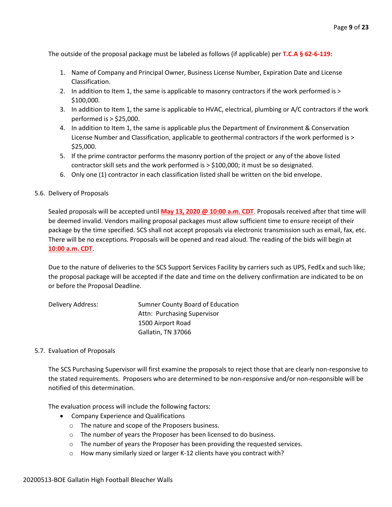The outside of the proposal package must be labeled as follows (if applicable) per **T.C.A § 62-6-119**:

- 1. Name of Company and Principal Owner, Business License Number, Expiration Date and License Classification.
- 2. In addition to Item 1, the same is applicable to masonry contractors if the work performed is > \$100,000.
- 3. In addition to Item 1, the same is applicable to HVAC, electrical, plumbing or A/C contractors if the work performed is > \$25,000.
- 4. In addition to Item 1, the same is applicable plus the Department of Environment & Conservation License Number and Classification, applicable to geothermal contractors if the work performed is > \$25,000.
- 5. If the prime contractor performs the masonry portion of the project or any of the above listed contractor skill sets and the work performed is > \$100,000; it must be so designated.
- 6. Only one (1) contractor in each classification listed shall be written on the bid envelope.

#### 5.6. Delivery of Proposals

Sealed proposals will be accepted until **May 13, 2020 @ 10:00 a.m. CDT**. Proposals received after that time will be deemed invalid. Vendors mailing proposal packages must allow sufficient time to ensure receipt of their package by the time specified. SCS shall not accept proposals via electronic transmission such as email, fax, etc. There will be no exceptions. Proposals will be opened and read aloud. The reading of the bids will begin at **10:00 a.m. CDT**.

Due to the nature of deliveries to the SCS Support Services Facility by carriers such as UPS, FedEx and such like; the proposal package will be accepted if the date and time on the delivery confirmation are indicated to be on or before the Proposal Deadline.

| Delivery Address: | Sumner County Board of Education |
|-------------------|----------------------------------|
|                   | Attn: Purchasing Supervisor      |
|                   | 1500 Airport Road                |
|                   | Gallatin, TN 37066               |

#### 5.7. Evaluation of Proposals

The SCS Purchasing Supervisor will first examine the proposals to reject those that are clearly non-responsive to the stated requirements. Proposers who are determined to be non-responsive and/or non-responsible will be notified of this determination.

The evaluation process will include the following factors:

- Company Experience and Qualifications
	- o The nature and scope of the Proposers business.
	- o The number of years the Proposer has been licensed to do business.
	- o The number of years the Proposer has been providing the requested services.
	- o How many similarly sized or larger K-12 clients have you contract with?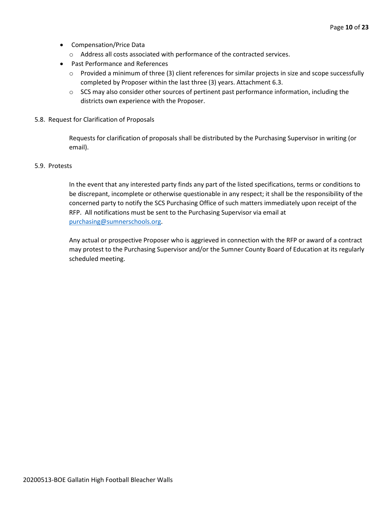- Compensation/Price Data
	- o Address all costs associated with performance of the contracted services.
- Past Performance and References
	- o Provided a minimum of three (3) client references for similar projects in size and scope successfully completed by Proposer within the last three (3) years. Attachment 6.3.
	- $\circ$  SCS may also consider other sources of pertinent past performance information, including the districts own experience with the Proposer.
- 5.8. Request for Clarification of Proposals

Requests for clarification of proposals shall be distributed by the Purchasing Supervisor in writing (or email).

#### 5.9. Protests

In the event that any interested party finds any part of the listed specifications, terms or conditions to be discrepant, incomplete or otherwise questionable in any respect; it shall be the responsibility of the concerned party to notify the SCS Purchasing Office of such matters immediately upon receipt of the RFP. All notifications must be sent to the Purchasing Supervisor via email at [purchasing@sumnerschools.org.](mailto:purchasing@sumnerschools.org)

Any actual or prospective Proposer who is aggrieved in connection with the RFP or award of a contract may protest to the Purchasing Supervisor and/or the Sumner County Board of Education at its regularly scheduled meeting.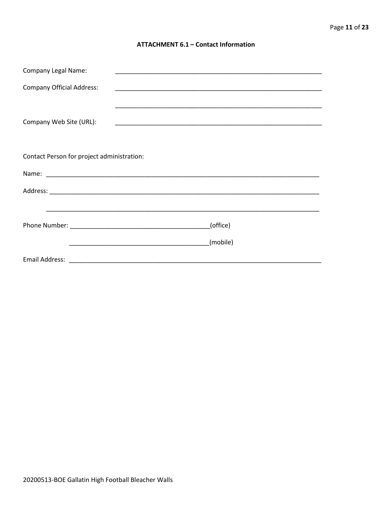#### **ATTACHMENT 6.1 - Contact Information**

| <b>Company Legal Name:</b>                 |          |
|--------------------------------------------|----------|
| <b>Company Official Address:</b>           |          |
|                                            |          |
| Company Web Site (URL):                    |          |
|                                            |          |
|                                            |          |
| Contact Person for project administration: |          |
|                                            |          |
|                                            |          |
|                                            |          |
|                                            | (office) |
|                                            |          |
|                                            | (mobile) |
|                                            |          |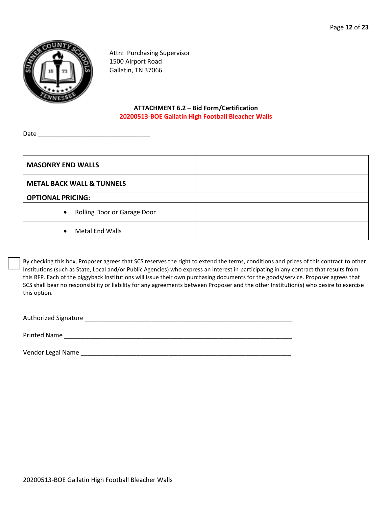

Attn: Purchasing Supervisor 1500 Airport Road Gallatin, TN 37066

#### **ATTACHMENT 6.2 – Bid Form/Certification 20200513-BOE Gallatin High Football Bleacher Walls**

Date \_\_\_\_\_\_\_\_\_\_\_\_\_\_\_\_\_\_\_\_\_\_\_\_\_\_\_\_\_\_\_\_

| <b>MASONRY END WALLS</b>             |  |
|--------------------------------------|--|
| <b>METAL BACK WALL &amp; TUNNELS</b> |  |
| <b>OPTIONAL PRICING:</b>             |  |
| • Rolling Door or Garage Door        |  |
| Metal End Walls<br>$\bullet$         |  |

By checking this box, Proposer agrees that SCS reserves the right to extend the terms, conditions and prices of this contract to other Institutions (such as State, Local and/or Public Agencies) who express an interest in participating in any contract that results from this RFP. Each of the piggyback Institutions will issue their own purchasing documents for the goods/service. Proposer agrees that SCS shall bear no responsibility or liability for any agreements between Proposer and the other Institution(s) who desire to exercise this option.

Authorized Signature \_\_\_\_\_\_\_\_\_\_\_\_\_\_\_\_\_\_\_\_\_\_\_\_\_\_\_\_\_\_\_\_\_\_\_\_\_\_\_\_\_\_\_\_\_\_\_\_\_\_\_\_\_\_\_\_\_\_\_

Printed Name **Example 20** and the set of the set of the set of the set of the set of the set of the set of the set of the set of the set of the set of the set of the set of the set of the set of the set of the set of the s

Vendor Legal Name **Legal Structure of the set of the set of the set of the set of the set of the set of the set of the set of the set of the set of the set of the set of the set of the set of the set of the set of the set**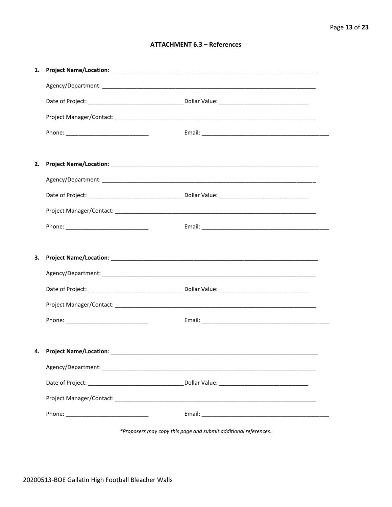#### **ATTACHMENT 6.3 - References**

| 1. |                                    |  |
|----|------------------------------------|--|
|    |                                    |  |
|    |                                    |  |
|    |                                    |  |
|    |                                    |  |
|    |                                    |  |
| 2. |                                    |  |
|    |                                    |  |
|    |                                    |  |
|    |                                    |  |
|    |                                    |  |
|    |                                    |  |
|    |                                    |  |
| 3. |                                    |  |
|    |                                    |  |
|    |                                    |  |
|    |                                    |  |
|    |                                    |  |
|    |                                    |  |
|    | 4. Project Name/Location: ________ |  |
|    |                                    |  |
|    |                                    |  |
|    |                                    |  |

\*Proposers may copy this page and submit additional references.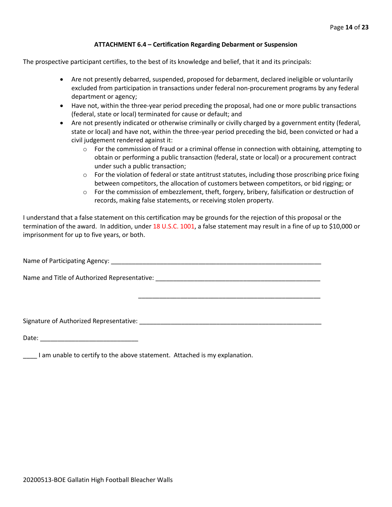#### **ATTACHMENT 6.4 – Certification Regarding Debarment or Suspension**

The prospective participant certifies, to the best of its knowledge and belief, that it and its principals:

- Are not presently debarred, suspended, proposed for debarment, declared ineligible or voluntarily excluded from participation in transactions under federal non-procurement programs by any federal department or agency;
- Have not, within the three-year period preceding the proposal, had one or more public transactions (federal, state or local) terminated for cause or default; and
- Are not presently indicated or otherwise criminally or civilly charged by a government entity (federal, state or local) and have not, within the three-year period preceding the bid, been convicted or had a civil judgement rendered against it:
	- $\circ$  For the commission of fraud or a criminal offense in connection with obtaining, attempting to obtain or performing a public transaction (federal, state or local) or a procurement contract under such a public transaction;
	- $\circ$  For the violation of federal or state antitrust statutes, including those proscribing price fixing between competitors, the allocation of customers between competitors, or bid rigging; or
	- $\circ$  For the commission of embezzlement, theft, forgery, bribery, falsification or destruction of records, making false statements, or receiving stolen property.

\_\_\_\_\_\_\_\_\_\_\_\_\_\_\_\_\_\_\_\_\_\_\_\_\_\_\_\_\_\_\_\_\_\_\_\_\_\_\_\_\_\_\_\_\_\_\_\_\_\_\_\_

I understand that a false statement on this certification may be grounds for the rejection of this proposal or the termination of the award. In addition, under 18 U.S.C. 1001, a false statement may result in a fine of up to \$10,000 or imprisonment for up to five years, or both.

Name of Participating Agency: \_\_\_\_\_\_\_\_\_\_\_\_\_\_\_\_\_\_\_\_\_\_\_\_\_\_\_\_\_\_\_\_\_\_\_\_\_\_\_\_\_\_\_\_\_\_\_\_\_\_\_\_\_\_\_\_\_\_\_\_

Name and Title of Authorized Representative: \_\_\_\_\_\_\_\_\_\_\_\_\_\_\_\_\_\_\_\_\_\_\_\_\_\_\_\_\_\_\_\_\_\_\_

Signature of Authorized Representative: \_\_\_\_\_\_\_\_\_\_\_\_\_\_\_\_\_\_\_\_\_\_\_\_\_\_\_\_\_\_\_\_\_\_\_\_\_\_\_\_\_\_\_\_\_\_\_\_\_\_\_\_

Date: \_\_\_\_\_\_\_\_\_\_\_\_\_\_\_\_\_\_\_\_\_\_\_\_\_\_\_\_

\_\_\_\_ I am unable to certify to the above statement. Attached is my explanation.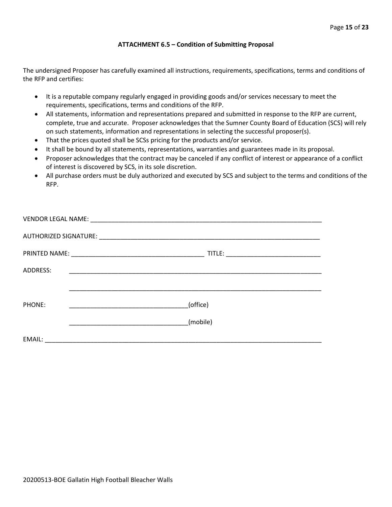#### **ATTACHMENT 6.5 – Condition of Submitting Proposal**

The undersigned Proposer has carefully examined all instructions, requirements, specifications, terms and conditions of the RFP and certifies:

- It is a reputable company regularly engaged in providing goods and/or services necessary to meet the requirements, specifications, terms and conditions of the RFP.
- All statements, information and representations prepared and submitted in response to the RFP are current, complete, true and accurate. Proposer acknowledges that the Sumner County Board of Education (SCS) will rely on such statements, information and representations in selecting the successful proposer(s).
- That the prices quoted shall be SCSs pricing for the products and/or service.
- It shall be bound by all statements, representations, warranties and guarantees made in its proposal.
- Proposer acknowledges that the contract may be canceled if any conflict of interest or appearance of a conflict of interest is discovered by SCS, in its sole discretion.
- All purchase orders must be duly authorized and executed by SCS and subject to the terms and conditions of the RFP.

| ADDRESS: |                                                     |  |
|----------|-----------------------------------------------------|--|
|          |                                                     |  |
| PHONE:   | (office)<br><u> 1990 - Johann Barbara, martin a</u> |  |
|          | (mobile)                                            |  |
| EMAIL:   |                                                     |  |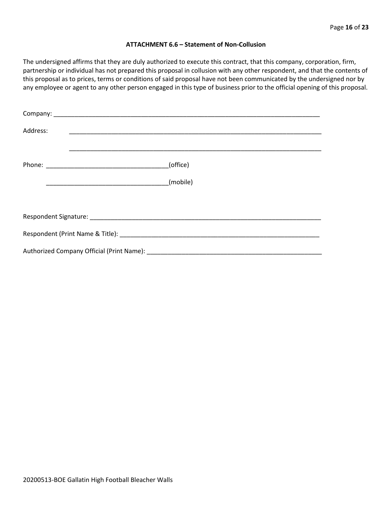#### **ATTACHMENT 6.6 – Statement of Non-Collusion**

The undersigned affirms that they are duly authorized to execute this contract, that this company, corporation, firm, partnership or individual has not prepared this proposal in collusion with any other respondent, and that the contents of this proposal as to prices, terms or conditions of said proposal have not been communicated by the undersigned nor by any employee or agent to any other person engaged in this type of business prior to the official opening of this proposal.

| Address: |          |  |  |  |  |  |
|----------|----------|--|--|--|--|--|
|          | (office) |  |  |  |  |  |
|          | (mobile) |  |  |  |  |  |
|          |          |  |  |  |  |  |
|          |          |  |  |  |  |  |
|          |          |  |  |  |  |  |
|          |          |  |  |  |  |  |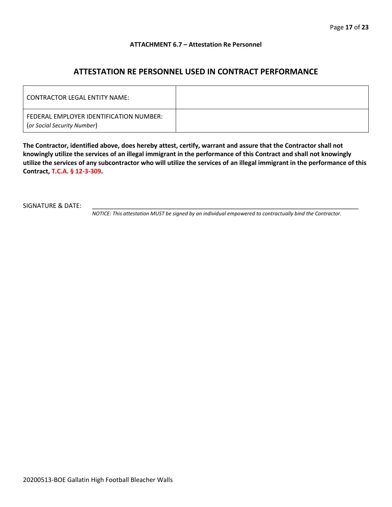#### **ATTACHMENT 6.7 – Attestation Re Personnel**

## **ATTESTATION RE PERSONNEL USED IN CONTRACT PERFORMANCE**

| CONTRACTOR LEGAL ENTITY NAME:                                          |  |
|------------------------------------------------------------------------|--|
| FEDERAL EMPLOYER IDENTIFICATION NUMBER:<br>(or Social Security Number) |  |

**The Contractor, identified above, does hereby attest, certify, warrant and assure that the Contractor shall not knowingly utilize the services of an illegal immigrant in the performance of this Contract and shall not knowingly utilize the services of any subcontractor who will utilize the services of an illegal immigrant in the performance of this Contract, T.C.A. § 12-3-309.**

SIGNATURE & DATE:

*NOTICE: This attestation MUST be signed by an individual empowered to contractually bind the Contractor.*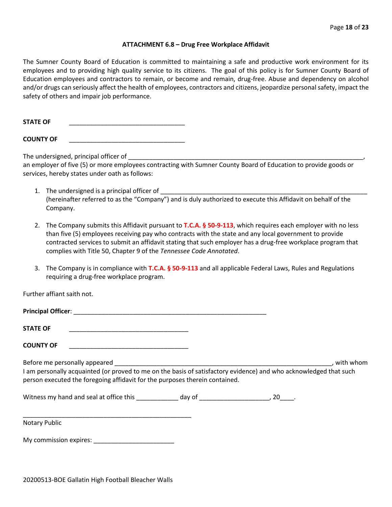#### **ATTACHMENT 6.8 – Drug Free Workplace Affidavit**

The Sumner County Board of Education is committed to maintaining a safe and productive work environment for its employees and to providing high quality service to its citizens. The goal of this policy is for Sumner County Board of Education employees and contractors to remain, or become and remain, drug-free. Abuse and dependency on alcohol and/or drugs can seriously affect the health of employees, contractors and citizens, jeopardize personal safety, impact the safety of others and impair job performance.

STATE OF

**COUNTY OF** \_\_\_\_\_\_\_\_\_\_\_\_\_\_\_\_\_\_\_\_\_\_\_\_\_\_\_\_\_\_\_\_\_

The undersigned, principal officer of

an employer of five (5) or more employees contracting with Sumner County Board of Education to provide goods or services, hereby states under oath as follows:

- 1. The undersigned is a principal officer of (hereinafter referred to as the "Company") and is duly authorized to execute this Affidavit on behalf of the Company.
- 2. The Company submits this Affidavit pursuant to **T.C.A. § 50-9-113**, which requires each employer with no less than five (5) employees receiving pay who contracts with the state and any local government to provide contracted services to submit an affidavit stating that such employer has a drug-free workplace program that complies with Title 50, Chapter 9 of the *Tennessee Code Annotated*.
- 3. The Company is in compliance with **T.C.A. § 50-9-113** and all applicable Federal Laws, Rules and Regulations requiring a drug-free workplace program.

Further affiant saith not.

| <b>Principal Officer:</b> |  |
|---------------------------|--|
|                           |  |
| <b>STATE OF</b>           |  |

**COUNTY OF** \_\_\_\_\_\_\_\_\_\_\_\_\_\_\_\_\_\_\_\_\_\_\_\_\_\_\_\_\_\_\_\_\_\_

Before me personally appeared \_\_\_\_\_\_\_\_\_\_\_\_\_\_\_\_\_\_\_\_\_\_\_\_\_\_\_\_\_\_\_\_\_\_\_\_\_\_\_\_\_\_\_\_\_\_\_\_\_\_\_\_\_\_\_\_\_\_\_\_\_\_, with whom I am personally acquainted (or proved to me on the basis of satisfactory evidence) and who acknowledged that such person executed the foregoing affidavit for the purposes therein contained.

Witness my hand and seal at office this \_\_\_\_\_\_\_\_\_\_\_\_\_ day of \_\_\_\_\_\_\_\_\_\_\_\_\_\_\_\_\_\_\_\_\_, 20\_\_\_\_.

\_\_\_\_\_\_\_\_\_\_\_\_\_\_\_\_\_\_\_\_\_\_\_\_\_\_\_\_\_\_\_\_\_\_\_\_\_\_\_\_\_\_\_\_\_\_\_\_ Notary Public

My commission expires: \_\_\_\_\_\_\_\_\_\_\_\_\_\_\_\_\_\_\_\_\_\_\_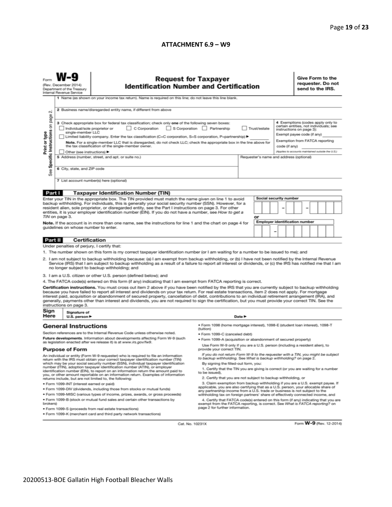#### **ATTACHMENT 6.9 – W9**

|                                                                                                                                                                                                                                                                                                                                                                                                                                                                                                                                                                                                                                                                                                                                                                             | <b>Request for Taxpayer</b><br>(Rev. December 2014)<br><b>Identification Number and Certification</b><br>Department of the Treasury<br>Internal Revenue Service<br>1 Name (as shown on your income tax return). Name is required on this line; do not leave this line blank. |                                                                                                            |                                                                                                                                                                                                                                                                                                                                                                                                                                                        |        |    |  |                                       |                                                                                                                                                                         | Give Form to the<br>requester. Do not<br>send to the IRS. |  |  |  |  |  |
|-----------------------------------------------------------------------------------------------------------------------------------------------------------------------------------------------------------------------------------------------------------------------------------------------------------------------------------------------------------------------------------------------------------------------------------------------------------------------------------------------------------------------------------------------------------------------------------------------------------------------------------------------------------------------------------------------------------------------------------------------------------------------------|------------------------------------------------------------------------------------------------------------------------------------------------------------------------------------------------------------------------------------------------------------------------------|------------------------------------------------------------------------------------------------------------|--------------------------------------------------------------------------------------------------------------------------------------------------------------------------------------------------------------------------------------------------------------------------------------------------------------------------------------------------------------------------------------------------------------------------------------------------------|--------|----|--|---------------------------------------|-------------------------------------------------------------------------------------------------------------------------------------------------------------------------|-----------------------------------------------------------|--|--|--|--|--|
| $\sim$                                                                                                                                                                                                                                                                                                                                                                                                                                                                                                                                                                                                                                                                                                                                                                      | 2 Business name/disregarded entity name, if different from above                                                                                                                                                                                                             |                                                                                                            |                                                                                                                                                                                                                                                                                                                                                                                                                                                        |        |    |  |                                       |                                                                                                                                                                         |                                                           |  |  |  |  |  |
| Specific Instructions on page<br>3 Check appropriate box for federal tax classification; check only one of the following seven boxes:<br>C Corporation<br>S Corporation Partnership<br>Trust/estate<br>Individual/sole proprietor or<br>Print or type<br>single-member LLC<br>Limited liability company. Enter the tax classification (C=C corporation, S=S corporation, P=partnership) ▶<br>Note. For a single-member LLC that is disregarded, do not check LLC; check the appropriate box in the line above for<br>the tax classification of the single-member owner.<br>code (if any)                                                                                                                                                                                    |                                                                                                                                                                                                                                                                              |                                                                                                            |                                                                                                                                                                                                                                                                                                                                                                                                                                                        |        |    |  |                                       | 4 Exemptions (codes apply only to<br>certain entities, not individuals; see<br>instructions on page 3):<br>Exempt payee code (if any)<br>Exemption from FATCA reporting |                                                           |  |  |  |  |  |
| See                                                                                                                                                                                                                                                                                                                                                                                                                                                                                                                                                                                                                                                                                                                                                                         | (Applies to accounts maintained outside the U.S.)<br>Other (see instructions) ▶<br>5 Address (number, street, and apt. or suite no.)<br>Requester's name and address (optional)<br>6 City, state, and ZIP code                                                               |                                                                                                            |                                                                                                                                                                                                                                                                                                                                                                                                                                                        |        |    |  |                                       |                                                                                                                                                                         |                                                           |  |  |  |  |  |
|                                                                                                                                                                                                                                                                                                                                                                                                                                                                                                                                                                                                                                                                                                                                                                             |                                                                                                                                                                                                                                                                              | 7 List account number(s) here (optional)                                                                   |                                                                                                                                                                                                                                                                                                                                                                                                                                                        |        |    |  |                                       |                                                                                                                                                                         |                                                           |  |  |  |  |  |
| Part I                                                                                                                                                                                                                                                                                                                                                                                                                                                                                                                                                                                                                                                                                                                                                                      |                                                                                                                                                                                                                                                                              | <b>Taxpayer Identification Number (TIN)</b>                                                                |                                                                                                                                                                                                                                                                                                                                                                                                                                                        |        |    |  |                                       |                                                                                                                                                                         |                                                           |  |  |  |  |  |
| Enter your TIN in the appropriate box. The TIN provided must match the name given on line 1 to avoid<br>backup withholding. For individuals, this is generally your social security number (SSN). However, for a<br>resident alien, sole proprietor, or disregarded entity, see the Part I instructions on page 3. For other<br>entities, it is your employer identification number (EIN). If you do not have a number, see How to get a<br>TIN on page 3.                                                                                                                                                                                                                                                                                                                  |                                                                                                                                                                                                                                                                              |                                                                                                            |                                                                                                                                                                                                                                                                                                                                                                                                                                                        |        | or |  | <b>Social security number</b>         |                                                                                                                                                                         |                                                           |  |  |  |  |  |
|                                                                                                                                                                                                                                                                                                                                                                                                                                                                                                                                                                                                                                                                                                                                                                             |                                                                                                                                                                                                                                                                              | Note. If the account is in more than one name, see the instructions for line 1 and the chart on page 4 for |                                                                                                                                                                                                                                                                                                                                                                                                                                                        |        |    |  | <b>Employer identification number</b> |                                                                                                                                                                         |                                                           |  |  |  |  |  |
|                                                                                                                                                                                                                                                                                                                                                                                                                                                                                                                                                                                                                                                                                                                                                                             | guidelines on whose number to enter.                                                                                                                                                                                                                                         |                                                                                                            |                                                                                                                                                                                                                                                                                                                                                                                                                                                        |        |    |  |                                       |                                                                                                                                                                         |                                                           |  |  |  |  |  |
| Part II                                                                                                                                                                                                                                                                                                                                                                                                                                                                                                                                                                                                                                                                                                                                                                     |                                                                                                                                                                                                                                                                              | Certification                                                                                              |                                                                                                                                                                                                                                                                                                                                                                                                                                                        |        |    |  |                                       |                                                                                                                                                                         |                                                           |  |  |  |  |  |
|                                                                                                                                                                                                                                                                                                                                                                                                                                                                                                                                                                                                                                                                                                                                                                             | Under penalties of perjury, I certify that:                                                                                                                                                                                                                                  |                                                                                                            |                                                                                                                                                                                                                                                                                                                                                                                                                                                        |        |    |  |                                       |                                                                                                                                                                         |                                                           |  |  |  |  |  |
| 1. The number shown on this form is my correct taxpayer identification number (or I am waiting for a number to be issued to me); and<br>2. I am not subject to backup withholding because: (a) I am exempt from backup withholding, or (b) I have not been notified by the Internal Revenue<br>Service (IRS) that I am subject to backup withholding as a result of a failure to report all interest or dividends, or (c) the IRS has notified me that I am<br>no longer subject to backup withholding; and                                                                                                                                                                                                                                                                 |                                                                                                                                                                                                                                                                              |                                                                                                            |                                                                                                                                                                                                                                                                                                                                                                                                                                                        |        |    |  |                                       |                                                                                                                                                                         |                                                           |  |  |  |  |  |
|                                                                                                                                                                                                                                                                                                                                                                                                                                                                                                                                                                                                                                                                                                                                                                             |                                                                                                                                                                                                                                                                              | 3. I am a U.S. citizen or other U.S. person (defined below); and                                           |                                                                                                                                                                                                                                                                                                                                                                                                                                                        |        |    |  |                                       |                                                                                                                                                                         |                                                           |  |  |  |  |  |
| 4. The FATCA code(s) entered on this form (if any) indicating that I am exempt from FATCA reporting is correct.<br>Certification instructions. You must cross out item 2 above if you have been notified by the IRS that you are currently subject to backup withholding<br>because you have failed to report all interest and dividends on your tax return. For real estate transactions, item 2 does not apply. For mortgage<br>interest paid, acquisition or abandonment of secured property, cancellation of debt, contributions to an individual retirement arrangement (IRA), and<br>generally, payments other than interest and dividends, you are not required to sign the certification, but you must provide your correct TIN. See the<br>instructions on page 3. |                                                                                                                                                                                                                                                                              |                                                                                                            |                                                                                                                                                                                                                                                                                                                                                                                                                                                        |        |    |  |                                       |                                                                                                                                                                         |                                                           |  |  |  |  |  |
| Sign<br>Here                                                                                                                                                                                                                                                                                                                                                                                                                                                                                                                                                                                                                                                                                                                                                                | Signature of<br>U.S. person $\blacktriangleright$                                                                                                                                                                                                                            |                                                                                                            |                                                                                                                                                                                                                                                                                                                                                                                                                                                        | Date P |    |  |                                       |                                                                                                                                                                         |                                                           |  |  |  |  |  |
|                                                                                                                                                                                                                                                                                                                                                                                                                                                                                                                                                                                                                                                                                                                                                                             | <b>General Instructions</b>                                                                                                                                                                                                                                                  | Section references are to the Internal Revenue Code unless otherwise noted.                                | ● Form 1098 (home mortgage interest), 1098-E (student loan interest), 1098-T<br>(tuition)                                                                                                                                                                                                                                                                                                                                                              |        |    |  |                                       |                                                                                                                                                                         |                                                           |  |  |  |  |  |
|                                                                                                                                                                                                                                                                                                                                                                                                                                                                                                                                                                                                                                                                                                                                                                             |                                                                                                                                                                                                                                                                              | Future developments. Information about developments affecting Form W-9 (such                               | · Form 1099-C (canceled debt)                                                                                                                                                                                                                                                                                                                                                                                                                          |        |    |  |                                       |                                                                                                                                                                         |                                                           |  |  |  |  |  |
| as legislation enacted after we release it) is at www.irs.gov/fw9.                                                                                                                                                                                                                                                                                                                                                                                                                                                                                                                                                                                                                                                                                                          |                                                                                                                                                                                                                                                                              |                                                                                                            | . Form 1099-A (acquisition or abandonment of secured property)<br>Use Form W-9 only if you are a U.S. person (including a resident alien), to                                                                                                                                                                                                                                                                                                          |        |    |  |                                       |                                                                                                                                                                         |                                                           |  |  |  |  |  |
| <b>Purpose of Form</b>                                                                                                                                                                                                                                                                                                                                                                                                                                                                                                                                                                                                                                                                                                                                                      |                                                                                                                                                                                                                                                                              | provide your correct TIN.                                                                                  |                                                                                                                                                                                                                                                                                                                                                                                                                                                        |        |    |  |                                       |                                                                                                                                                                         |                                                           |  |  |  |  |  |
| An individual or entity (Form W-9 requester) who is required to file an information<br>return with the IRS must obtain your correct taxpayer identification number (TIN)<br>which may be your social security number (SSN), individual taxpayer identification<br>number (ITIN), adoption taxpayer identification number (ATIN), or employer<br>identification number (EIN), to report on an information return the amount paid to<br>you, or other amount reportable on an information return. Examples of information<br>returns include, but are not limited to, the following:                                                                                                                                                                                          |                                                                                                                                                                                                                                                                              |                                                                                                            | If you do not return Form W-9 to the requester with a TIN, you might be subject<br>to backup withholding. See What is backup withholding? on page 2.<br>By signing the filled-out form, you:<br>1. Certify that the TIN you are giving is correct (or you are waiting for a number<br>to be issued).<br>2. Certify that you are not subject to backup withholding, or<br>3. Claim exemption from backup withholding if you are a U.S. exempt payee. If |        |    |  |                                       |                                                                                                                                                                         |                                                           |  |  |  |  |  |
| · Form 1099-INT (interest earned or paid)<br>applicable, you are also certifying that as a U.S. person, your allocable share of<br>. Form 1099-DIV (dividends, including those from stocks or mutual funds)                                                                                                                                                                                                                                                                                                                                                                                                                                                                                                                                                                 |                                                                                                                                                                                                                                                                              |                                                                                                            |                                                                                                                                                                                                                                                                                                                                                                                                                                                        |        |    |  |                                       |                                                                                                                                                                         |                                                           |  |  |  |  |  |
| . Form 1099-MISC (various types of income, prizes, awards, or gross proceeds)<br>. Form 1099-B (stock or mutual fund sales and certain other transactions by<br>brokers)                                                                                                                                                                                                                                                                                                                                                                                                                                                                                                                                                                                                    |                                                                                                                                                                                                                                                                              |                                                                                                            | any partnership income from a U.S. trade or business is not subject to the<br>withholding tax on foreign partners' share of effectively connected income, and<br>4. Certify that FATCA code(s) entered on this form (if any) indicating that you are<br>exempt from the FATCA reporting, is correct. See What is FATCA reporting? on                                                                                                                   |        |    |  |                                       |                                                                                                                                                                         |                                                           |  |  |  |  |  |
| page 2 for further information.<br>· Form 1099-S (proceeds from real estate transactions)<br>. Form 1099-K (merchant card and third party network transactions)                                                                                                                                                                                                                                                                                                                                                                                                                                                                                                                                                                                                             |                                                                                                                                                                                                                                                                              |                                                                                                            |                                                                                                                                                                                                                                                                                                                                                                                                                                                        |        |    |  |                                       |                                                                                                                                                                         |                                                           |  |  |  |  |  |

Cat. No. 10231X

Form W-9 (Rev. 12-2014)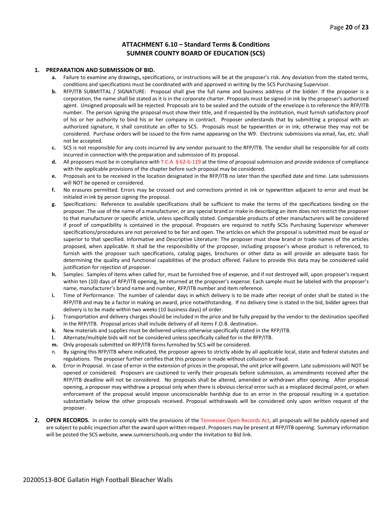#### **ATTACHMENT 6.10 – Standard Terms & Conditions SUMNER COUNTY BOARD OF EDUCATION (SCS)**

#### **1. PREPARATION AND SUBMISSION OF BID.**

- **a.** Failure to examine any drawings**,** specifications, or instructions will be at the proposer's risk. Any deviation from the stated terms, conditions and specifications must be coordinated with and approved in writing by the SCS Purchasing Supervisor.
- **b.** RFP/ITB SUBMITTAL / SIGNATURE: Proposal shall give the full name and business address of the bidder. If the proposer is a corporation, the name shall be stated as it is in the corporate charter. Proposals must be signed in ink by the proposer's authorized agent. Unsigned proposals will be rejected. Proposals are to be sealed and the outside of the envelope is to reference the RFP/ITB number. The person signing the proposal must show their title, and if requested by the institution, must furnish satisfactory proof of his or her authority to bind his or her company in contract. Proposer understands that by submitting a proposal with an authorized signature, it shall constitute an offer to SCS. Proposals must be typewritten or in ink; otherwise they may not be considered. Purchase orders will be issued to the firm name appearing on the W9. Electronic submissions via email, fax, etc. shall not be accepted.
- **c.** SCS is not responsible for any costs incurred by any vendor pursuant to the RFP/ITB. The vendor shall be responsible for all costs incurred in connection with the preparation and submission of its proposal.
- **d.** All proposers must be in compliance with T.C.A. § 62-6-119 at the time of proposal submission and provide evidence of compliance with the applicable provisions of the chapter before such proposal may be considered.
- **e.** Proposals are to be received in the location designated in the RFP/ITB no later than the specified date and time. Late submissions will NOT be opened or considered.
- **f.** No erasures permitted. Errors may be crossed out and corrections printed in ink or typewritten adjacent to error and must be initialed in ink by person signing the proposal.
- **g.** Specifications: Reference to available specifications shall be sufficient to make the terms of the specifications binding on the proposer. The use of the name of a manufacturer, or any special brand or make in describing an item does not restrict the proposer to that manufacturer or specific article, unless specifically stated. Comparable products of other manufacturers will be considered if proof of compatibility is contained in the proposal. Proposers are required to notify SCSs Purchasing Supervisor whenever specifications/procedures are not perceived to be fair and open. The articles on which the proposal is submitted must be equal or superior to that specified. Informative and Descriptive Literature: The proposer must show brand or trade names of the articles proposed, when applicable. It shall be the responsibility of the proposer, including proposer's whose product is referenced, to furnish with the proposer such specifications, catalog pages, brochures or other data as will provide an adequate basis for determining the quality and functional capabilities of the product offered. Failure to provide this data may be considered valid justification for rejection of proposer.
- **h.** Samples: Samples of items when called for, must be furnished free of expense, and if not destroyed will, upon proposer's request within ten (10) days of RFP/ITB opening, be returned at the proposer's expense. Each sample must be labeled with the proposer's name, manufacturer's brand name and number, RFP/ITB number and item reference.
- **i.** Time of Performance: The number of calendar days in which delivery is to be made after receipt of order shall be stated in the RFP/ITB and may be a factor in making an award, price notwithstanding. If no delivery time is stated in the bid, bidder agrees that delivery is to be made within two weeks (10 business days) of order.
- **j.** Transportation and delivery charges should be included in the price and be fully prepaid by the vendor to the destination specified in the RFP/ITB. Proposal prices shall include delivery of all items F.O.B. destination.
- **k.** New materials and supplies must be delivered unless otherwise specifically stated in the RFP/ITB.
- **l.** Alternate/multiple bids will not be considered unless specifically called for in the RFP/ITB.
- **m.** Only proposals submitted on RFP/ITB forms furnished by SCS will be considered.
- n. By signing this RFP/ITB where indicated, the proposer agrees to strictly abide by all applicable local, state and federal statutes and regulations. The proposer further certifies that this proposer is made without collusion or fraud.
- **o.** Error in Proposal. In case of error in the extension of prices in the proposal, the unit price will govern. Late submissions will NOT be opened or considered. Proposers are cautioned to verify their proposals before submission, as amendments received after the RFP/ITB deadline will not be considered. No proposals shall be altered, amended or withdrawn after opening. After proposal opening, a proposer may withdraw a proposal only when there is obvious clerical error such as a misplaced decimal point, or when enforcement of the proposal would impose unconscionable hardship due to an error in the proposal resulting in a quotation substantially below the other proposals received. Proposal withdrawals will be considered only upon written request of the proposer.
- **2. OPEN RECORDS.** In order to comply with the provisions of the Tennessee Open Records Act, all proposals will be publicly opened and are subject to public inspection after the award upon written request. Proposers may be present at RFP/ITB opening. Summary information will be posted the SCS website, www.sumnerschools.org under the Invitation to Bid link.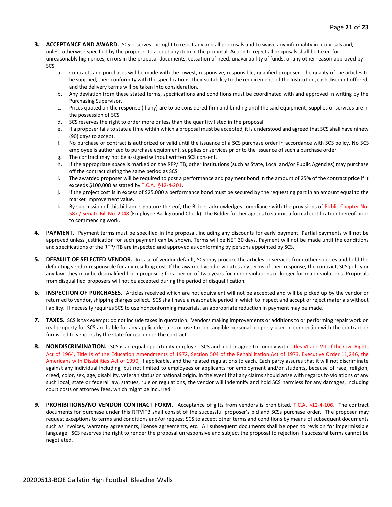- **3. ACCEPTANCE AND AWARD.** SCS reserves the right to reject any and all proposals and to waive any informality in proposals and, unless otherwise specified by the proposer to accept any item in the proposal. Action to reject all proposals shall be taken for unreasonably high prices, errors in the proposal documents, cessation of need, unavailability of funds, or any other reason approved by SCS.
	- a. Contracts and purchases will be made with the lowest, responsive, responsible, qualified proposer. The quality of the articles to be supplied, their conformity with the specifications, their suitability to the requirements of the Institution, cash discount offered, and the delivery terms will be taken into consideration.
	- b. Any deviation from these stated terms, specifications and conditions must be coordinated with and approved in writing by the Purchasing Supervisor.
	- c. Prices quoted on the response (if any) are to be considered firm and binding until the said equipment, supplies or services are in the possession of SCS.
	- d. SCS reserves the right to order more or less than the quantity listed in the proposal.
	- e. If a proposer fails to state a time within which a proposal must be accepted, it is understood and agreed that SCS shall have ninety (90) days to accept.
	- f. No purchase or contract is authorized or valid until the issuance of a SCS purchase order in accordance with SCS policy. No SCS employee is authorized to purchase equipment, supplies or services prior to the issuance of such a purchase order.
	- g. The contract may not be assigned without written SCS consent.
	- h. If the appropriate space is marked on the RFP/ITB, other Institutions (such as State, Local and/or Public Agencies) may purchase off the contract during the same period as SCS.
	- i. The awarded proposer will be required to post a performance and payment bond in the amount of 25% of the contract price if it exceeds \$100,000 as stated by T.C.A. §12-4-201.
	- j. If the project cost is in excess of \$25,000 a performance bond must be secured by the requesting part in an amount equal to the market improvement value.
	- k. By submission of this bid and signature thereof, the Bidder acknowledges compliance with the provisions of Public Chapter No. 587 / Senate Bill No. 2048 (Employee Background Check). The Bidder further agrees to submit a formal certification thereof prior to commencing work.
- **4. PAYMENT**. Payment terms must be specified in the proposal, including any discounts for early payment. Partial payments will not be approved unless justification for such payment can be shown. Terms will be NET 30 days. Payment will not be made until the conditions and specifications of the RFP/ITB are inspected and approved as conforming by persons appointed by SCS.
- **5. DEFAULT OF SELECTED VENDOR.** In case of vendor default, SCS may procure the articles or services from other sources and hold the defaulting vendor responsible for any resulting cost. If the awarded vendor violates any terms of their response, the contract, SCS policy or any law, they may be disqualified from proposing for a period of two years for minor violations or longer for major violations. Proposals from disqualified proposers will not be accepted during the period of disqualification.
- **6. INSPECTION OF PURCHASES.** Articles received which are not equivalent will not be accepted and will be picked up by the vendor or returned to vendor, shipping charges collect. SCS shall have a reasonable period in which to inspect and accept or reject materials without liability. If necessity requires SCS to use nonconforming materials, an appropriate reduction in payment may be made.
- **7. TAXES.** SCS is tax exempt; do not include taxes in quotation. Vendors making improvements or additions to or performing repair work on real property for SCS are liable for any applicable sales or use tax on tangible personal property used in connection with the contract or furnished to vendors by the state for use under the contract.
- **8. NONDISCRIMINATION.** SCS is an equal opportunity employer. SCS and bidder agree to comply with Titles VI and VII of the Civil Rights Act of 1964, Title IX of the Education Amendments of 1972, Section 504 of the Rehabilitation Act of 1973, Executive Order 11,246, the Americans with Disabilities Act of 1990, if applicable, and the related regulations to each. Each party assures that it will not discriminate against any individual including, but not limited to employees or applicants for employment and/or students, because of race, religion, creed, color, sex, age, disability, veteran status or national origin. In the event that any claims should arise with regards to violations of any such local, state or federal law, statues, rule or regulations, the vendor will indemnify and hold SCS harmless for any damages, including court costs or attorney fees, which might be incurred.
- **9. PROHIBITIONS/NO VENDOR CONTRACT FORM.** Acceptance of gifts from vendors is prohibited. T.C.A. §12-4-106. The contract documents for purchase under this RFP/ITB shall consist of the successful proposer's bid and SCSs purchase order. The proposer may request exceptions to terms and conditions and/or request SCS to accept other terms and conditions by means of subsequent documents such as invoices, warranty agreements, license agreements, etc. All subsequent documents shall be open to revision for impermissible language. SCS reserves the right to render the proposal unresponsive and subject the proposal to rejection if successful terms cannot be negotiated.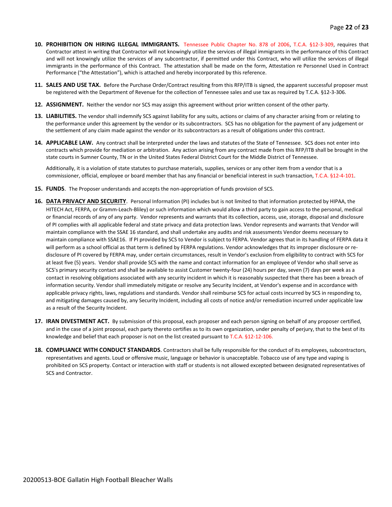- **10. PROHIBITION ON HIRING ILLEGAL IMMIGRANTS.** Tennessee Public Chapter No. 878 of 2006, T.C.A. §12-3-309, requires that Contractor attest in writing that Contractor will not knowingly utilize the services of illegal immigrants in the performance of this Contract and will not knowingly utilize the services of any subcontractor, if permitted under this Contract, who will utilize the services of illegal immigrants in the performance of this Contract. The attestation shall be made on the form, Attestation re Personnel Used in Contract Performance ("the Attestation"), which is attached and hereby incorporated by this reference.
- **11. SALES AND USE TAX.** Before the Purchase Order/Contract resulting from this RFP/ITB is signed, the apparent successful proposer must be registered with the Department of Revenue for the collection of Tennessee sales and use tax as required by T.C.A. §12-3-306.
- **12. ASSIGNMENT.** Neither the vendor nor SCS may assign this agreement without prior written consent of the other party.
- **13. LIABILITIES.** The vendor shall indemnify SCS against liability for any suits, actions or claims of any character arising from or relating to the performance under this agreement by the vendor or its subcontractors. SCS has no obligation for the payment of any judgement or the settlement of any claim made against the vendor or its subcontractors as a result of obligations under this contract.
- **14. APPLICABLE LAW.** Any contract shall be interpreted under the laws and statutes of the State of Tennessee. SCS does not enter into contracts which provide for mediation or arbitration. Any action arising from any contract made from this RFP/ITB shall be brought in the state courts in Sumner County, TN or in the United States Federal District Court for the Middle District of Tennessee.

Additionally, it is a violation of state statutes to purchase materials, supplies, services or any other item from a vendor that is a commissioner, official, employee or board member that has any financial or beneficial interest in such transaction, T.C.A. §12-4-101.

- **15. FUNDS**. The Proposer understands and accepts the non-appropriation of funds provision of SCS.
- **16. DATA PRIVACY AND SECURITY**. Personal Information (PI) includes but is not limited to that information protected by HIPAA, the HITECH Act, FERPA, or Gramm-Leach-Bliley) or such information which would allow a third party to gain access to the personal, medical or financial records of any of any party. Vendor represents and warrants that its collection, access, use, storage, disposal and disclosure of PI complies with all applicable federal and state privacy and data protection laws. Vendor represents and warrants that Vendor will maintain compliance with the SSAE 16 standard, and shall undertake any audits and risk assessments Vendor deems necessary to maintain compliance with SSAE16. If PI provided by SCS to Vendor is subject to FERPA. Vendor agrees that in its handling of FERPA data it will perform as a school official as that term is defined by FERPA regulations. Vendor acknowledges that its improper disclosure or redisclosure of PI covered by FERPA may, under certain circumstances, result in Vendor's exclusion from eligibility to contract with SCS for at least five (5) years. Vendor shall provide SCS with the name and contact information for an employee of Vendor who shall serve as SCS's primary security contact and shall be available to assist Customer twenty-four (24) hours per day, seven (7) days per week as a contact in resolving obligations associated with any security incident in which it is reasonably suspected that there has been a breach of information security. Vendor shall immediately mitigate or resolve any Security Incident, at Vendor's expense and in accordance with applicable privacy rights, laws, regulations and standards. Vendor shall reimburse SCS for actual costs incurred by SCS in responding to, and mitigating damages caused by, any Security Incident, including all costs of notice and/or remediation incurred under applicable law as a result of the Security Incident.
- **17. IRAN DIVESTMENT ACT.** By submission of this proposal, each proposer and each person signing on behalf of any proposer certified, and in the case of a joint proposal, each party thereto certifies as to its own organization, under penalty of perjury, that to the best of its knowledge and belief that each proposer is not on the list created pursuant to T.C.A. §12-12-106.
- **18. COMPLIANCE WITH CONDUCT STANDARDS**. Contractors shall be fully responsible for the conduct of its employees, subcontractors, representatives and agents. Loud or offensive music, language or behavior is unacceptable. Tobacco use of any type and vaping is prohibited on SCS property. Contact or interaction with staff or students is not allowed excepted between designated representatives of SCS and Contractor.